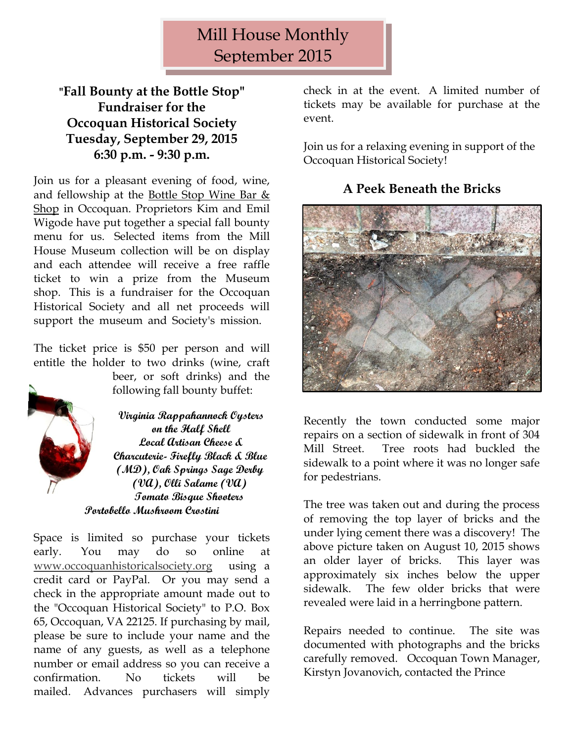# Mill House Monthly September 2015

## **"Fall Bounty at the Bottle Stop" Fundraiser for the Occoquan Historical Society Tuesday, September 29, 2015 6:30 p.m. - 9:30 p.m.**

Join us for a pleasant evening of food, wine, and fellowship at the [Bottle Stop Wine Bar &](http://www.bottlestopva.com/)  [Shop](http://www.bottlestopva.com/) in Occoquan. Proprietors Kim and Emil Wigode have put together a special fall bounty menu for us. Selected items from the Mill House Museum collection will be on display and each attendee will receive a free raffle ticket to win a prize from the Museum shop. This is a fundraiser for the Occoquan Historical Society and all net proceeds will support the museum and Society's mission.

The ticket price is \$50 per person and will entitle the holder to two drinks (wine, craft



beer, or soft drinks) and the following fall bounty buffet:

**Virginia Rappahannock Oysters on the Half Shell Local Artisan Cheese & Charcuterie- Firefly Black & Blue (MD), Oak Springs Sage Derby (VA), Olli Salame (VA) Tomato Bisque Shooters Portobello Mushroom Crostini**

Space is limited so purchase your tickets early. You may do so online at [www.occoquanhistoricalsociety.org](http://www.occoquanhistoricalsociety.org/) using a credit card or PayPal. Or you may send a check in the appropriate amount made out to the "Occoquan Historical Society" to P.O. Box 65, Occoquan, VA 22125. If purchasing by mail, please be sure to include your name and the name of any guests, as well as a telephone number or email address so you can receive a confirmation. No tickets will be mailed. Advances purchasers will simply

check in at the event. A limited number of tickets may be available for purchase at the event.

Join us for a relaxing evening in support of the Occoquan Historical Society!

# **A Peek Beneath the Bricks**



Recently the town conducted some major repairs on a section of sidewalk in front of 304 Mill Street. Tree roots had buckled the sidewalk to a point where it was no longer safe for pedestrians.

The tree was taken out and during the process of removing the top layer of bricks and the under lying cement there was a discovery! The above picture taken on August 10, 2015 shows an older layer of bricks. This layer was approximately six inches below the upper sidewalk. The few older bricks that were revealed were laid in a herringbone pattern.

Repairs needed to continue. The site was documented with photographs and the bricks carefully removed. Occoquan Town Manager, Kirstyn Jovanovich, contacted the Prince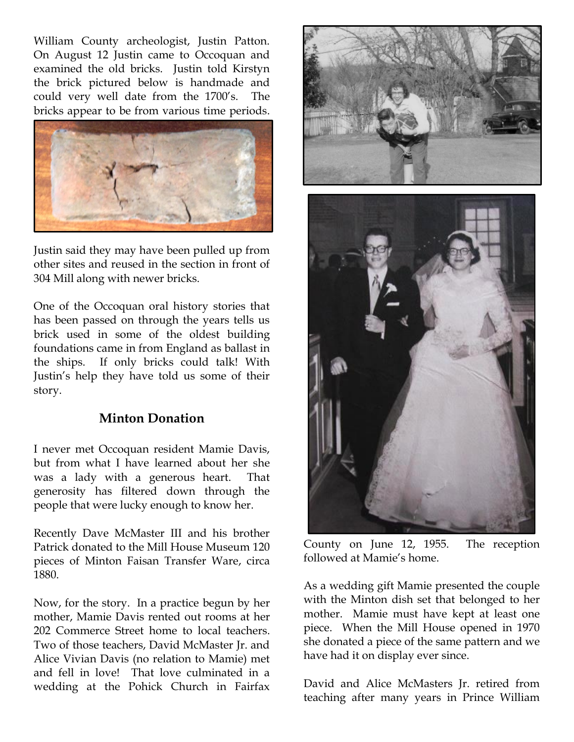William County archeologist, Justin Patton. On August 12 Justin came to Occoquan and examined the old bricks. Justin told Kirstyn the brick pictured below is handmade and could very well date from the 1700's. The bricks appear to be from various time periods.



Justin said they may have been pulled up from other sites and reused in the section in front of 304 Mill along with newer bricks.

One of the Occoquan oral history stories that has been passed on through the years tells us brick used in some of the oldest building foundations came in from England as ballast in the ships. If only bricks could talk! With Justin's help they have told us some of their story.

## **Minton Donation**

I never met Occoquan resident Mamie Davis, but from what I have learned about her she was a lady with a generous heart. That generosity has filtered down through the people that were lucky enough to know her.

Recently Dave McMaster III and his brother Patrick donated to the Mill House Museum 120 pieces of Minton Faisan Transfer Ware, circa 1880.

Now, for the story. In a practice begun by her mother, Mamie Davis rented out rooms at her 202 Commerce Street home to local teachers. Two of those teachers, David McMaster Jr. and Alice Vivian Davis (no relation to Mamie) met and fell in love! That love culminated in a wedding at the Pohick Church in Fairfax



County on June 12, 1955. The reception followed at Mamie's home.

As a wedding gift Mamie presented the couple with the Minton dish set that belonged to her mother. Mamie must have kept at least one piece. When the Mill House opened in 1970 she donated a piece of the same pattern and we have had it on display ever since.

David and Alice McMasters Jr. retired from teaching after many years in Prince William